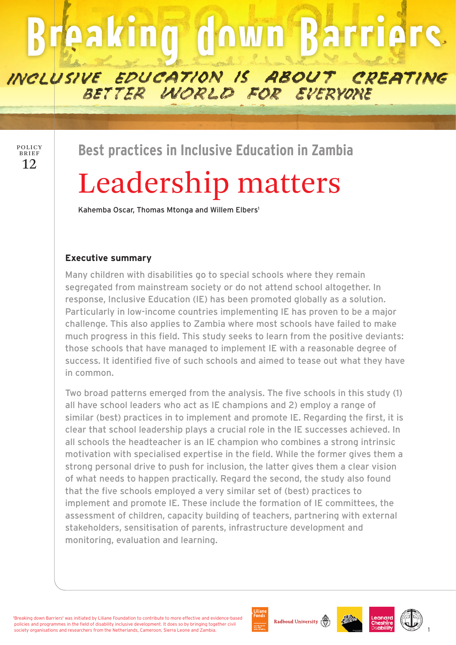# **Breaking down Barriers**

INCLUSIVE EDUCATION IS ABOUT CREATING

BETTER WORLD FOR EVERYONE

12 POLICY BRIEF

**Best practices in Inclusive Education in Zambia**

# Leadership matters

Kahemba Oscar, Thomas Mtonga and Willem Elbers<sup>1</sup>

## **Executive summary**

Many children with disabilities go to special schools where they remain segregated from mainstream society or do not attend school altogether. In response, Inclusive Education (IE) has been promoted globally as a solution. Particularly in low-income countries implementing IE has proven to be a major challenge. This also applies to Zambia where most schools have failed to make much progress in this field. This study seeks to learn from the positive deviants: those schools that have managed to implement IE with a reasonable degree of success. It identified five of such schools and aimed to tease out what they have in common.

Two broad patterns emerged from the analysis. The five schools in this study (1) all have school leaders who act as IE champions and 2) employ a range of similar (best) practices in to implement and promote IE. Regarding the first, it is clear that school leadership plays a crucial role in the IE successes achieved. In all schools the headteacher is an IE champion who combines a strong intrinsic motivation with specialised expertise in the field. While the former gives them a strong personal drive to push for inclusion, the latter gives them a clear vision of what needs to happen practically. Regard the second, the study also found that the five schools employed a very similar set of (best) practices to implement and promote IE. These include the formation of IE committees, the assessment of children, capacity building of teachers, partnering with external stakeholders, sensitisation of parents, infrastructure development and monitoring, evaluation and learning.

'Breaking down Barriers' was initiated by Liliane Foundation to contribute to more effective and evidence-based policies and programmes in the field of disability inclusive development. It does so by bringing together civil society organisations and researchers from the Netherlands, Cameroon, Sierra Leone and Zambia.











1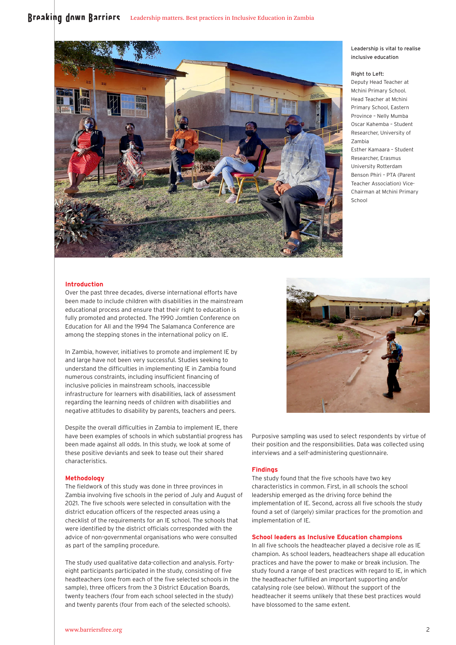### Broaking down Barriors Leadership matters. Best practices in Inclusive Education in Zambia



#### Leadership is vital to realise inclusive education

#### Right to Left:

Deputy Head Teacher at Mchini Primary School. Head Teacher at Mchini Primary School, Eastern Province – Nelly Mumba Oscar Kahemba – Student Researcher, University of Zambia

Esther Kamaara – Student Researcher, Erasmus University Rotterdam Benson Phiri – PTA (Parent Teacher Association) Vice-Chairman at Mchini Primary School

#### **Introduction**

Over the past three decades, diverse international efforts have been made to include children with disabilities in the mainstream educational process and ensure that their right to education is fully promoted and protected. The 1990 Jomtien Conference on Education for All and the 1994 The Salamanca Conference are among the stepping stones in the international policy on IE.

In Zambia, however, initiatives to promote and implement IE by and large have not been very successful. Studies seeking to understand the difficulties in implementing IE in Zambia found numerous constraints, including insufficient financing of inclusive policies in mainstream schools, inaccessible infrastructure for learners with disabilities, lack of assessment regarding the learning needs of children with disabilities and negative attitudes to disability by parents, teachers and peers.

Despite the overall difficulties in Zambia to implement IE, there have been examples of schools in which substantial progress has been made against all odds. In this study, we look at some of these positive deviants and seek to tease out their shared characteristics.

#### **Methodology**

The fieldwork of this study was done in three provinces in Zambia involving five schools in the period of July and August of 2021. The five schools were selected in consultation with the district education officers of the respected areas using a checklist of the requirements for an IE school. The schools that were identified by the district officials corresponded with the advice of non-governmental organisations who were consulted as part of the sampling procedure.

The study used qualitative data-collection and analysis. Fortyeight participants participated in the study, consisting of five headteachers (one from each of the five selected schools in the sample), three officers from the 3 District Education Boards, twenty teachers (four from each school selected in the study) and twenty parents (four from each of the selected schools).



Purposive sampling was used to select respondents by virtue of their position and the responsibilities. Data was collected using interviews and a self-administering questionnaire.

#### **Findings**

The study found that the five schools have two key characteristics in common. First, in all schools the school leadership emerged as the driving force behind the implementation of IE. Second, across all five schools the study found a set of (largely) similar practices for the promotion and implementation of IE.

#### **School leaders as Inclusive Education champions**

In all five schools the headteacher played a decisive role as IE champion. As school leaders, headteachers shape all education practices and have the power to make or break inclusion. The study found a range of best practices with regard to IE, in which the headteacher fulfilled an important supporting and/or catalysing role (see below). Without the support of the headteacher it seems unlikely that these best practices would have blossomed to the same extent.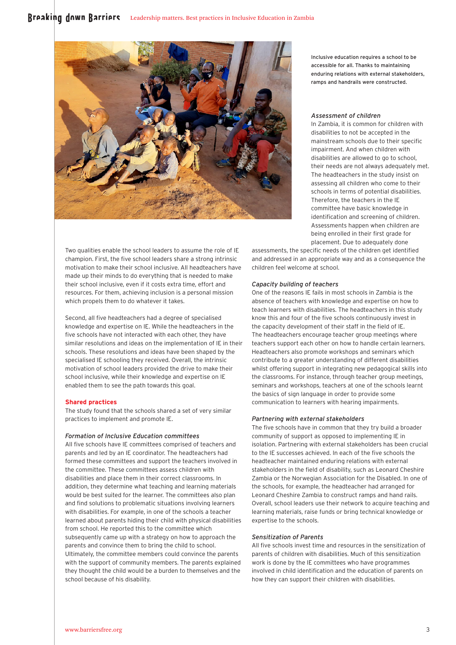

Two qualities enable the school leaders to assume the role of IE champion. First, the five school leaders share a strong intrinsic motivation to make their school inclusive. All headteachers have made up their minds to do everything that is needed to make their school inclusive, even if it costs extra time, effort and resources. For them, achieving inclusion is a personal mission which propels them to do whatever it takes.

Second, all five headteachers had a degree of specialised knowledge and expertise on IE. While the headteachers in the five schools have not interacted with each other, they have similar resolutions and ideas on the implementation of IE in their schools. These resolutions and ideas have been shaped by the specialised IE schooling they received. Overall, the intrinsic motivation of school leaders provided the drive to make their school inclusive, while their knowledge and expertise on IE enabled them to see the path towards this goal.

#### **Shared practices**

The study found that the schools shared a set of very similar practices to implement and promote IE.

#### *Formation of Inclusive Education committees*

All five schools have IE committees comprised of teachers and parents and led by an IE coordinator. The headteachers had formed these committees and support the teachers involved in the committee. These committees assess children with disabilities and place them in their correct classrooms. In addition, they determine what teaching and learning materials would be best suited for the learner. The committees also plan and find solutions to problematic situations involving learners with disabilities. For example, in one of the schools a teacher learned about parents hiding their child with physical disabilities from school. He reported this to the committee which subsequently came up with a strategy on how to approach the parents and convince them to bring the child to school. Ultimately, the committee members could convince the parents with the support of community members. The parents explained they thought the child would be a burden to themselves and the school because of his disability.

Inclusive education requires a school to be accessible for all. Thanks to maintaining enduring relations with external stakeholders, ramps and handrails were constructed.

#### *Assessment of children*

being enrolled in their first grade for placement. Due to adequately done In Zambia, it is common for children with disabilities to not be accepted in the mainstream schools due to their specific impairment. And when children with disabilities are allowed to go to school, their needs are not always adequately met. The headteachers in the study insist on assessing all children who come to their schools in terms of potential disabilities. Therefore, the teachers in the IE committee have basic knowledge in identification and screening of children. Assessments happen when children are

assessments, the specific needs of the children get identified and addressed in an appropriate way and as a consequence the children feel welcome at school.

#### *Capacity building of teachers*

One of the reasons IE fails in most schools in Zambia is the absence of teachers with knowledge and expertise on how to teach learners with disabilities. The headteachers in this study know this and four of the five schools continuously invest in the capacity development of their staff in the field of IE. The headteachers encourage teacher group meetings where teachers support each other on how to handle certain learners. Headteachers also promote workshops and seminars which contribute to a greater understanding of different disabilities whilst offering support in integrating new pedagogical skills into the classrooms. For instance, through teacher group meetings, seminars and workshops, teachers at one of the schools learnt the basics of sign language in order to provide some communication to learners with hearing impairments.

#### *Partnering with external stakeholders*

The five schools have in common that they try build a broader community of support as opposed to implementing IE in isolation. Partnering with external stakeholders has been crucial to the IE successes achieved. In each of the five schools the headteacher maintained enduring relations with external stakeholders in the field of disability, such as Leonard Cheshire Zambia or the Norwegian Association for the Disabled. In one of the schools, for example, the headteacher had arranged for Leonard Cheshire Zambia to construct ramps and hand rails. Overall, school leaders use their network to acquire teaching and learning materials, raise funds or bring technical knowledge or expertise to the schools.

#### *Sensitization of Parents*

All five schools invest time and resources in the sensitization of parents of children with disabilities. Much of this sensitization work is done by the IE committees who have programmes involved in child identification and the education of parents on how they can support their children with disabilities.